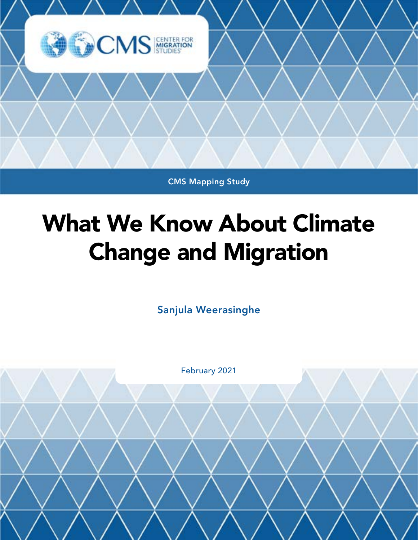

CMS Mapping Study

# What We Know About Climate Change and Migration

Sanjula Weerasinghe

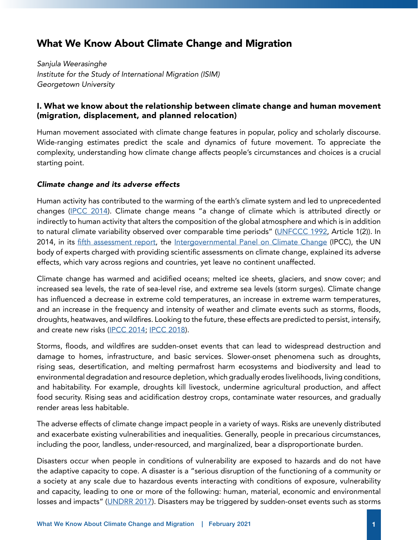# What We Know About Climate Change and Migration

*Sanjula Weerasinghe Institute for the Study of International Migration (ISIM) Georgetown University*

# I. What we know about the relationship between climate change and human movement (migration, displacement, and planned relocation)

Human movement associated with climate change features in popular, policy and scholarly discourse. Wide-ranging estimates predict the scale and dynamics of future movement. To appreciate the complexity, understanding how climate change affects people's circumstances and choices is a crucial starting point.

# *Climate change and its adverse effects*

Human activity has contributed to the warming of the earth's climate system and led to unprecedented changes [\(IPCC 2014\)](https://www.ipcc.ch/report/ar5/syr/). Climate change means "a change of climate which is attributed directly or indirectly to human activity that alters the composition of the global atmosphere and which is in addition to natural climate variability observed over comparable time periods" ([UNFCCC 1992](https://unfccc.int/files/essential_background/background_publications_htmlpdf/application/pdf/conveng.pdf), Article 1(2)). In 2014, in its [fifth assessment report](https://www.ipcc.ch/report/ar5/syr/), the [Intergovernmental Panel on Climate Change](https://www.ipcc.ch/) (IPCC), the UN body of experts charged with providing scientific assessments on climate change, explained its adverse effects, which vary across regions and countries, yet leave no continent unaffected.

Climate change has warmed and acidified oceans; melted ice sheets, glaciers, and snow cover; and increased sea levels, the rate of sea-level rise, and extreme sea levels (storm surges). Climate change has influenced a decrease in extreme cold temperatures, an increase in extreme warm temperatures, and an increase in the frequency and intensity of weather and climate events such as storms, floods, droughts, heatwaves, and wildfires. Looking to the future, these effects are predicted to persist, intensify, and create new risks ([IPCC 2014](https://www.ipcc.ch/report/ar5/syr/); [IPCC 2018](https://www.ipcc.ch/sr15/)).

Storms, floods, and wildfires are sudden-onset events that can lead to widespread destruction and damage to homes, infrastructure, and basic services. Slower-onset phenomena such as droughts, rising seas, desertification, and melting permafrost harm ecosystems and biodiversity and lead to environmental degradation and resource depletion, which gradually erodes livelihoods, living conditions, and habitability. For example, droughts kill livestock, undermine agricultural production, and affect food security. Rising seas and acidification destroy crops, contaminate water resources, and gradually render areas less habitable.

The adverse effects of climate change impact people in a variety of ways. Risks are unevenly distributed and exacerbate existing vulnerabilities and inequalities. Generally, people in precarious circumstances, including the poor, landless, under-resourced, and marginalized, bear a disproportionate burden.

Disasters occur when people in conditions of vulnerability are exposed to hazards and do not have the adaptive capacity to cope. A disaster is a "serious disruption of the functioning of a community or a society at any scale due to hazardous events interacting with conditions of exposure, vulnerability and capacity, leading to one or more of the following: human, material, economic and environmental losses and impacts" [\(UNDRR 2017\)](https://www.undrr.org/terminology/disaster). Disasters may be triggered by sudden-onset events such as storms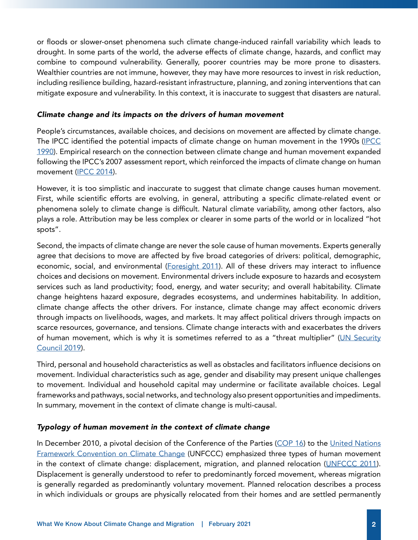or floods or slower-onset phenomena such climate change-induced rainfall variability which leads to drought. In some parts of the world, the adverse effects of climate change, hazards, and conflict may combine to compound vulnerability. Generally, poorer countries may be more prone to disasters. Wealthier countries are not immune, however, they may have more resources to invest in risk reduction, including resilience building, hazard-resistant infrastructure, planning, and zoning interventions that can mitigate exposure and vulnerability. In this context, it is inaccurate to suggest that disasters are natural.

#### *Climate change and its impacts on the drivers of human movement*

People's circumstances, available choices, and decisions on movement are affected by climate change. The [IPCC](https://www.ipcc.ch/site/assets/uploads/2018/03/ipcc_far_wg_I_full_report.pdf) identified the potential impacts of climate change on human movement in the 1990s (IPCC [1990](https://www.ipcc.ch/site/assets/uploads/2018/03/ipcc_far_wg_I_full_report.pdf)). Empirical research on the connection between climate change and human movement expanded following the IPCC's 2007 assessment report, which reinforced the impacts of climate change on human movement ([IPCC 2014](https://www.ipcc.ch/report/ar4/wg1/)).

However, it is too simplistic and inaccurate to suggest that climate change causes human movement. First, while scientific efforts are evolving, in general, attributing a specific climate-related event or phenomena solely to climate change is difficult. Natural climate variability, among other factors, also plays a role. Attribution may be less complex or clearer in some parts of the world or in localized "hot spots".

Second, the impacts of climate change are never the sole cause of human movements. Experts generally agree that decisions to move are affected by five broad categories of drivers: political, demographic, economic, social, and environmental [\(Foresight 2011](https://assets.publishing.service.gov.uk/government/uploads/system/uploads/attachment_data/file/287717/11-1116-migration-and-global-environmental-change.pdf)). All of these drivers may interact to influence choices and decisions on movement. Environmental drivers include exposure to hazards and ecosystem services such as land productivity; food, energy, and water security; and overall habitability. Climate change heightens hazard exposure, degrades ecosystems, and undermines habitability. In addition, climate change affects the other drivers. For instance, climate change may affect economic drivers through impacts on livelihoods, wages, and markets. It may affect political drivers through impacts on scarce resources, governance, and tensions. Climate change interacts with and exacerbates the drivers of human movement, which is why it is sometimes referred to as a "threat multiplier" [\(UN Security](https://news.un.org/en/story/2019/01/1031322) [Council 2019\)](https://news.un.org/en/story/2019/01/1031322).

Third, personal and household characteristics as well as obstacles and facilitators influence decisions on movement. Individual characteristics such as age, gender and disability may present unique challenges to movement. Individual and household capital may undermine or facilitate available choices. Legal frameworks and pathways, social networks, and technology also present opportunities and impediments. In summary, movement in the context of climate change is multi-causal.

# *Typology of human movement in the context of climate change*

In December 2010, a pivotal decision of the Conference of the Parties ([COP 16\)](https://unfccc.int/process-and-meetings/conferences/past-conferences/cancun-climate-change-conference-november-2010/cop-16) to the [United Nations](https://unfccc.int/) [Framework Convention on Climate Change](https://unfccc.int/) (UNFCCC) emphasized three types of human movement in the context of climate change: displacement, migration, and planned relocation ([UNFCCC 2011\)](https://unfccc.int/resource/docs/2010/cop16/eng/07a01.pdf). Displacement is generally understood to refer to predominantly forced movement, whereas migration is generally regarded as predominantly voluntary movement. Planned relocation describes a process in which individuals or groups are physically relocated from their homes and are settled permanently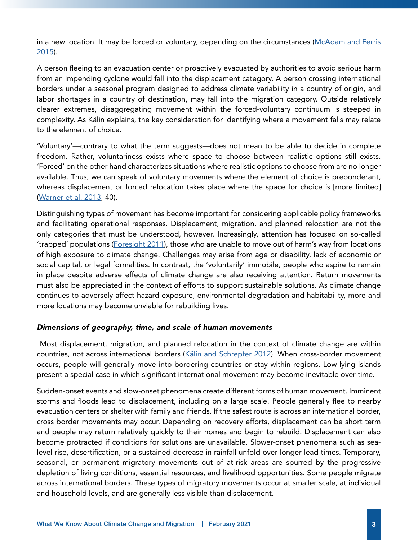in a new location. It may be forced or voluntary, depending on the circumstances ([McAdam and Ferris](https://www.kaldorcentre.unsw.edu.au/sites/kaldorcentre.unsw.edu.au/files/McAdam_cjicl.04.01.137.pdf) [2015](https://www.kaldorcentre.unsw.edu.au/sites/kaldorcentre.unsw.edu.au/files/McAdam_cjicl.04.01.137.pdf)).

A person fleeing to an evacuation center or proactively evacuated by authorities to avoid serious harm from an impending cyclone would fall into the displacement category. A person crossing international borders under a seasonal program designed to address climate variability in a country of origin, and labor shortages in a country of destination, may fall into the migration category. Outside relatively clearer extremes, disaggregating movement within the forced-voluntary continuum is steeped in complexity. As Kälin explains, the key consideration for identifying where a movement falls may relate to the element of choice.

'Voluntary'—contrary to what the term suggests—does not mean to be able to decide in complete freedom. Rather, voluntariness exists where space to choose between realistic options still exists. 'Forced' on the other hand characterizes situations where realistic options to choose from are no longer available. Thus, we can speak of voluntary movements where the element of choice is preponderant, whereas displacement or forced relocation takes place where the space for choice is [more limited] [\(Warner et al. 2013,](https://www.files.ethz.ch/isn/167240/Policybrief_8_web.pdf) 40).

Distinguishing types of movement has become important for considering applicable policy frameworks and facilitating operational responses. Displacement, migration, and planned relocation are not the only categories that must be understood, however. Increasingly, attention has focused on so-called 'trapped' populations ([Foresight 2011](https://assets.publishing.service.gov.uk/government/uploads/system/uploads/attachment_data/file/287717/11-1116-migration-and-global-environmental-change.pdf)), those who are unable to move out of harm's way from locations of high exposure to climate change. Challenges may arise from age or disability, lack of economic or social capital, or legal formalities. In contrast, the 'voluntarily' immobile, people who aspire to remain in place despite adverse effects of climate change are also receiving attention. Return movements must also be appreciated in the context of efforts to support sustainable solutions. As climate change continues to adversely affect hazard exposure, environmental degradation and habitability, more and more locations may become unviable for rebuilding lives.

#### *Dimensions of geography, time, and scale of human movements*

 Most displacement, migration, and planned relocation in the context of climate change are within countries, not across international borders [\(Kälin and Schrepfer 2012\)](https://www.unhcr.org/4f33f1729.pdf). When cross-border movement occurs, people will generally move into bordering countries or stay within regions. Low-lying islands present a special case in which significant international movement may become inevitable over time.

Sudden-onset events and slow-onset phenomena create different forms of human movement. Imminent storms and floods lead to displacement, including on a large scale. People generally flee to nearby evacuation centers or shelter with family and friends. If the safest route is across an international border, cross border movements may occur. Depending on recovery efforts, displacement can be short term and people may return relatively quickly to their homes and begin to rebuild. Displacement can also become protracted if conditions for solutions are unavailable. Slower-onset phenomena such as sealevel rise, desertification, or a sustained decrease in rainfall unfold over longer lead times. Temporary, seasonal, or permanent migratory movements out of at-risk areas are spurred by the progressive depletion of living conditions, essential resources, and livelihood opportunities. Some people migrate across international borders. These types of migratory movements occur at smaller scale, at individual and household levels, and are generally less visible than displacement.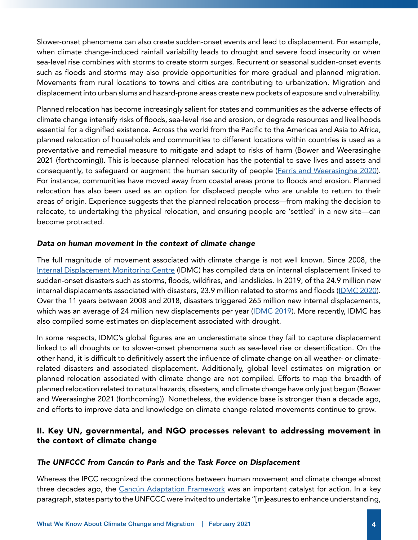Slower-onset phenomena can also create sudden-onset events and lead to displacement. For example, when climate change-induced rainfall variability leads to drought and severe food insecurity or when sea-level rise combines with storms to create storm surges. Recurrent or seasonal sudden-onset events such as floods and storms may also provide opportunities for more gradual and planned migration. Movements from rural locations to towns and cities are contributing to urbanization. Migration and displacement into urban slums and hazard-prone areas create new pockets of exposure and vulnerability.

Planned relocation has become increasingly salient for states and communities as the adverse effects of climate change intensify risks of floods, sea-level rise and erosion, or degrade resources and livelihoods essential for a dignified existence. Across the world from the Pacific to the Americas and Asia to Africa, planned relocation of households and communities to different locations within countries is used as a preventative and remedial measure to mitigate and adapt to risks of harm (Bower and Weerasinghe 2021 (forthcoming)). This is because planned relocation has the potential to save lives and assets and consequently, to safeguard or augment the human security of people ([Ferris and Weerasinghe 2020\)](https://journals.sagepub.com/doi/full/10.1177/2331502420909305). For instance, communities have moved away from coastal areas prone to floods and erosion. Planned relocation has also been used as an option for displaced people who are unable to return to their areas of origin. Experience suggests that the planned relocation process—from making the decision to relocate, to undertaking the physical relocation, and ensuring people are 'settled' in a new site—can become protracted.

#### *Data on human movement in the context of climate change*

The full magnitude of movement associated with climate change is not well known. Since 2008, the [Internal Displacement Monitoring Centre](https://www.internal-displacement.org/) (IDMC) has compiled data on internal displacement linked to sudden-onset disasters such as storms, floods, wildfires, and landslides. In 2019, of the 24.9 million new internal displacements associated with disasters, 23.9 million related to storms and floods ([IDMC 2020\)](https://www.internal-displacement.org/global-report/grid2020/). Over the 11 years between 2008 and 2018, disasters triggered 265 million new internal displacements, which was an average of 24 million new displacements per year [\(IDMC 2019](https://www.internal-displacement.org/sites/default/files/publications/documents/201905-disaster-displacement-global-review-2008-2018.pdf)). More recently, IDMC has also compiled some estimates on displacement associated with drought.

In some respects, IDMC's global figures are an underestimate since they fail to capture displacement linked to all droughts or to slower-onset phenomena such as sea-level rise or desertification. On the other hand, it is difficult to definitively assert the influence of climate change on all weather- or climaterelated disasters and associated displacement. Additionally, global level estimates on migration or planned relocation associated with climate change are not compiled. Efforts to map the breadth of planned relocation related to natural hazards, disasters, and climate change have only just begun (Bower and Weerasinghe 2021 (forthcoming)). Nonetheless, the evidence base is stronger than a decade ago, and efforts to improve data and knowledge on climate change-related movements continue to grow.

# II. Key UN, governmental, and NGO processes relevant to addressing movement in the context of climate change

#### *The UNFCCC from Cancún to Paris and the Task Force on Displacement*

Whereas the IPCC recognized the connections between human movement and climate change almost three decades ago, the [Cancún Adaptation Framework](https://unfccc.int/resource/docs/2010/cop16/eng/07a01.pdf) was an important catalyst for action. In a key paragraph, states party to the UNFCCC were invited to undertake "[m]easures to enhance understanding,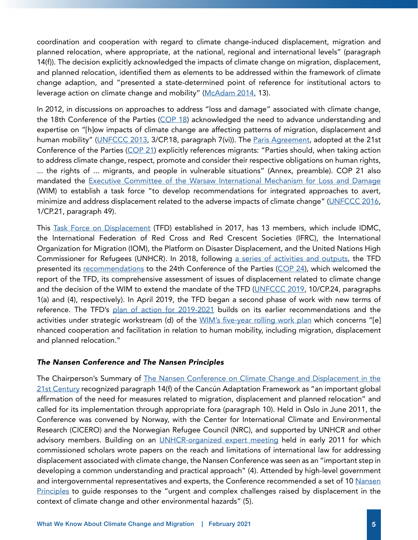coordination and cooperation with regard to climate change-induced displacement, migration and planned relocation, where appropriate, at the national, regional and international levels" (paragraph 14(f)). The decision explicitly acknowledged the impacts of climate change on migration, displacement, and planned relocation, identified them as elements to be addressed within the framework of climate change adaption, and "presented a state-determined point of reference for institutional actors to leverage action on climate change and mobility" ([McAdam 2014,](https://refuge.journals.yorku.ca/index.php/refuge/article/view/38164/34560) 13).

In 2012, in discussions on approaches to address "loss and damage" associated with climate change, the 18th Conference of the Parties ([COP 18](https://unfccc.int/process-and-meetings/conferences/past-conferences/doha-climate-change-conference-november-2012/cop-18)) acknowledged the need to advance understanding and expertise on "[h]ow impacts of climate change are affecting patterns of migration, displacement and human mobility" [\(UNFCCC 2013](https://unfccc.int/process-and-meetings/conferences/past-conferences/doha-climate-change-conference-november-2012/cop-18), 3/CP.18, paragraph 7(vi)). The [Paris Agreement](https://unfccc.int/resource/docs/2015/cop21/eng/10a01.pdf#page=2), adopted at the 21st Conference of the Parties ([COP 21](https://unfccc.int/process-and-meetings/conferences/past-conferences/paris-climate-change-conference-november-2015/cop-21)) explicitly references migrants: "Parties should, when taking action to address climate change, respect, promote and consider their respective obligations on human rights, ... the rights of ... migrants, and people in vulnerable situations" (Annex, preamble). COP 21 also mandated the [Executive Committee of the Warsaw International Mechanism for Loss and Damage](https://unfccc.int/wim-excom) (WIM) to establish a task force "to develop recommendations for integrated approaches to avert, minimize and address displacement related to the adverse impacts of climate change" [\(UNFCCC 2016,](https://unfccc.int/resource/docs/2015/cop21/eng/10a01.pdf#page=2) 1/CP.21, paragraph 49).

This [Task Force on Displacement](https://unfccc.int/wim-excom/sub-groups/TFD) (TFD) established in 2017, has 13 members, which include IDMC, the International Federation of Red Cross and Red Crescent Societies (IFRC), the International Organization for Migration (IOM), the Platform on Disaster Displacement, and the United Nations High Commissioner for Refugees (UNHCR). In 2018, following [a series of activities and outputs,](https://unfccc.int/process-and-meetings/bodies/constituted-bodies/executive-committee-of-the-warsaw-international-mechanism-for-loss-and-damage-wim-excom/task-force-on-displacement/documents#eq-1) the TFD presented its [recommendations](https://unfccc.int/sites/default/files/resource/2018_TFD_report_17_Sep.pdf) to the 24th Conference of the Parties [\(COP 24](https://unfccc.int/process-and-meetings/conferences/past-conferences/katowice-climate-change-conference-december-2018/sessions-of-negotiating-bodies/cop-24)), which welcomed the report of the TFD, its comprehensive assessment of issues of displacement related to climate change and the decision of the WIM to extend the mandate of the TFD ([UNFCCC 2019](https://unfccc.int/sites/default/files/resource/10a1.pdf), 10/CP.24, paragraphs 1(a) and (4), respectively). In April 2019, the TFD began a second phase of work with new terms of reference. The TFD's [plan of action for 2019-2021](https://unfccc.int/sites/default/files/resource/sb2019_05_add1.pdf) builds on its earlier recommendations and the activities under strategic workstream (d) of the [WIM's five-year rolling work plan](https://unfccc.int/sites/default/files/resource/5yr_rolling_workplan.pdf) which concerns "[e] nhanced cooperation and facilitation in relation to human mobility, including migration, displacement and planned relocation."

#### *The Nansen Conference and The Nansen Principles*

The Chairperson's Summary of [The Nansen Conference on Climate Change and Displacement in the](https://www.unhcr.org/4ea969729.pdf) [21st Century](https://www.unhcr.org/4ea969729.pdf) recognized paragraph 14(f) of the Cancún Adaptation Framework as "an important global affirmation of the need for measures related to migration, displacement and planned relocation" and called for its implementation through appropriate fora (paragraph 10). Held in Oslo in June 2011, the Conference was convened by Norway, with the Center for International Climate and Environmental Research (CICERO) and the Norwegian Refugee Council (NRC), and supported by UNHCR and other advisory members. Building on an [UNHCR-organized expert meeting](https://www.unhcr.org/protection/environment/542e95f09/unhcr-bellagio-expert-meeting-summary-deliberations-climate-change-displacement.html) held in early 2011 for which commissioned scholars wrote papers on the reach and limitations of international law for addressing displacement associated with climate change, the Nansen Conference was seen as an "important step in developing a common understanding and practical approach" (4). Attended by high-level government and intergovernmental representatives and experts, the Conference recommended a set of 10 Nansen [Principles](https://www.unhcr.org/4ea969729.pdf) to guide responses to the "urgent and complex challenges raised by displacement in the context of climate change and other environmental hazards" (5).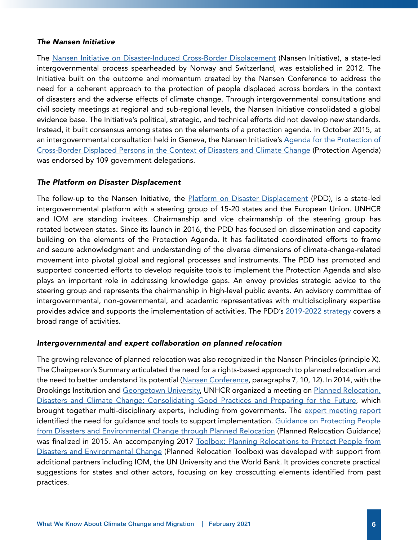#### *The Nansen Initiative*

The [Nansen Initiative on Disaster-Induced Cross-Border Displacement](https://www.nanseninitiative.org/) (Nansen Initiative), a state-led intergovernmental process spearheaded by Norway and Switzerland, was established in 2012. The Initiative built on the outcome and momentum created by the Nansen Conference to address the need for a coherent approach to the protection of people displaced across borders in the context of disasters and the adverse effects of climate change. Through intergovernmental consultations and civil society meetings at regional and sub-regional levels, the Nansen Initiative consolidated a global evidence base. The Initiative's political, strategic, and technical efforts did not develop new standards. Instead, it built consensus among states on the elements of a protection agenda. In October 2015, at an intergovernmental consultation held in Geneva, the Nansen Initiative's [Agenda for the Protection of](https://www.nanseninitiative.org/global-consultations/)  [Cross-Border Displaced Persons in the Context of Disasters and Climate Change](https://www.nanseninitiative.org/global-consultations/) (Protection Agenda) was endorsed by 109 government delegations.

#### *The Platform on Disaster Displacement*

The follow-up to the Nansen Initiative, the [Platform on Disaster Displacement](https://disasterdisplacement.org/) (PDD), is a state-led intergovernmental platform with a steering group of 15-20 states and the European Union. UNHCR and IOM are standing invitees. Chairmanship and vice chairmanship of the steering group has rotated between states. Since its launch in 2016, the PDD has focused on dissemination and capacity building on the elements of the Protection Agenda. It has facilitated coordinated efforts to frame and secure acknowledgment and understanding of the diverse dimensions of climate-change-related movement into pivotal global and regional processes and instruments. The PDD has promoted and supported concerted efforts to develop requisite tools to implement the Protection Agenda and also plays an important role in addressing knowledge gaps. An envoy provides strategic advice to the steering group and represents the chairmanship in high-level public events. An advisory committee of intergovernmental, non-governmental, and academic representatives with multidisciplinary expertise provides advice and supports the implementation of activities. The PDD's [2019-2022 strategy](https://disasterdisplacement.org/wp-content/uploads/2019/06/26062019-PDD-Strategy-2019-2022-FINAL_to_post_on_website.pdf) covers a broad range of activities.

#### *Intergovernmental and expert collaboration on planned relocation*

The growing relevance of planned relocation was also recognized in the Nansen Principles (principle X). The Chairperson's Summary articulated the need for a rights-based approach to planned relocation and the need to better understand its potential [\(Nansen Conference](https://www.unhcr.org/4ea969729.pdf), paragraphs 7, 10, 12). In 2014, with the Brookings Institution and [Georgetown University,](https://isim.georgetown.edu/research/current-projects/planned-relocations/) UNHCR organized a meeting on Planned Relocation, [Disasters and Climate Change: Consolidating Good Practices and Preparing for the Future,](https://www.unhcr.org/53c4d6f99.pdf) which brought together multi-disciplinary experts, including from governments. The expert meeting report identified the need for guidance and tools to support implementation. [Guidance on Protecting People](https://www.refworld.org/docid/596f15284.html)  [from Disasters and Environmental Change through Planned Relocation](https://www.refworld.org/docid/596f15284.html) (Planned Relocation Guidance) was finalized in 2015. An accompanying 2017 Toolbox: Planning Relocations to Protect People from [Disasters and Environmental Change](https://www.refworld.org/docid/596f15774.html) (Planned Relocation Toolbox) was developed with support from additional partners including IOM, the UN University and the World Bank. It provides concrete practical suggestions for states and other actors, focusing on key crosscutting elements identified from past practices.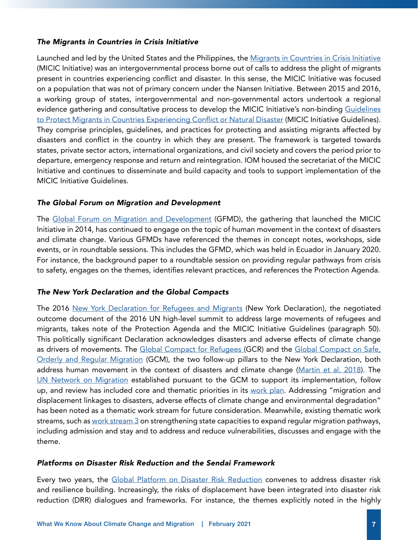#### *The Migrants in Countries in Crisis Initiative*

Launched and led by the United States and the Philippines, the Migrants in Countries in Crisis Initiative (MICIC Initiative) was an intergovernmental process borne out of calls to address the plight of migrants present in countries experiencing conflict and disaster. In this sense, the MICIC Initiative was focused on a population that was not of primary concern under the Nansen Initiative. Between 2015 and 2016, a working group of states, intergovernmental and non-governmental actors undertook a regional evidence gathering and consultative process to develop the MICIC Initiative's non-binding [Guidelines](https://micicinitiative.iom.int/guidelines)  [to Protect Migrants in Countries Experiencing Conflict or Natural Disaster](https://micicinitiative.iom.int/guidelines) (MICIC Initiative Guidelines). They comprise principles, guidelines, and practices for protecting and assisting migrants affected by disasters and conflict in the country in which they are present. The framework is targeted towards states, private sector actors, international organizations, and civil society and covers the period prior to departure, emergency response and return and reintegration. IOM housed the secretariat of the MICIC Initiative and continues to disseminate and build capacity and tools to support implementation of the MICIC Initiative Guidelines.

# *The Global Forum on Migration and Development*

The [Global Forum on Migration and Development](https://www.gfmd.org/) (GFMD), the gathering that launched the MICIC Initiative in 2014, has continued to engage on the topic of human movement in the context of disasters and climate change. Various GFMDs have referenced the themes in concept notes, workshops, side events, or in roundtable sessions. This includes the GFMD, which was held in Ecuador in January 2020. For instance, the background paper to a roundtable session on providing regular pathways from crisis to safety, engages on the themes, identifies relevant practices, and references the Protection Agenda.

# *The New York Declaration and the Global Compacts*

The 2016 [New York Declaration for Refugees and Migrants](https://www.un.org/en/development/desa/population/migration/generalassembly/docs/globalcompact/A_RES_71_1.pdf) (New York Declaration), the negotiated outcome document of the 2016 UN high-level summit to address large movements of refugees and migrants, takes note of the Protection Agenda and the MICIC Initiative Guidelines (paragraph 50). This politically significant Declaration acknowledges disasters and adverse effects of climate change as drivers of movements. The [Global Compact for Refugees](https://www.unhcr.org/gcr/GCR_English.pdf) (GCR) and the [Global Compact on Safe,](https://www.un.org/en/development/desa/population/migration/generalassembly/docs/globalcompact/A_RES_73_195.pdf)  [Orderly and Regular Migration](https://www.un.org/en/development/desa/population/migration/generalassembly/docs/globalcompact/A_RES_73_195.pdf) (GCM), the two follow-up pillars to the New York Declaration, both address human movement in the context of disasters and climate change [\(Martin et al. 2018\)](https://www.knomad.org/sites/default/files/2019-02/Policy%20Brief%2011_The%20Global%20Compacts%20and%20Environmental%20Drivers%20of%20Migration.pdf). The [UN Network on Migration](https://migrationnetwork.un.org/about) established pursuant to the GCM to support its implementation, follow up, and review has included core and thematic priorities in its [work plan](https://migrationnetwork.un.org/about/united-nations-network-migration-workplan). Addressing "migration and displacement linkages to disasters, adverse effects of climate change and environmental degradation" has been noted as a thematic work stream for future consideration. Meanwhile, existing thematic work streams, such as [work stream 3](https://migrationnetwork.un.org/twg3-regular-pathways-migrants-vulnerable-situations) on strengthening state capacities to expand regular migration pathways, including admission and stay and to address and reduce vulnerabilities, discusses and engage with the theme.

# *Platforms on Disaster Risk Reduction and the Sendai Framework*

Every two years, the [Global Platform on Disaster Risk Reduction](https://www.preventionweb.net/sendai-framework/globalplatform#tab-3) convenes to address disaster risk and resilience building. Increasingly, the risks of displacement have been integrated into disaster risk reduction (DRR) dialogues and frameworks. For instance, the themes explicitly noted in the highly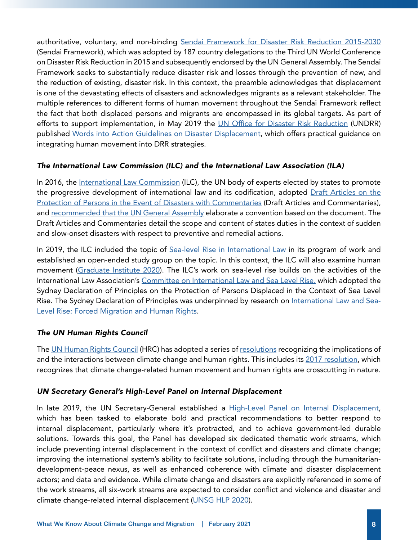authoritative, voluntary, and non-binding [Sendai Framework for Disaster Risk Reduction 2015-2030](https://www.un.org/en/development/desa/population/migration/generalassembly/docs/globalcompact/A_RES_69_283.pdf)  (Sendai Framework), which was adopted by 187 country delegations to the Third UN World Conference on Disaster Risk Reduction in 2015 and subsequently endorsed by the UN General Assembly. The Sendai Framework seeks to substantially reduce disaster risk and losses through the prevention of new, and the reduction of existing, disaster risk. In this context, the preamble acknowledges that displacement is one of the devastating effects of disasters and acknowledges migrants as a relevant stakeholder. The multiple references to different forms of human movement throughout the Sendai Framework reflect the fact that both displaced persons and migrants are encompassed in its global targets. As part of efforts to support implementation, in May 2019 the [UN Office for Disaster Risk Reduction](https://www.undrr.org/) (UNDRR) published [Words into Action Guidelines on Disaster Displacement,](https://www.undrr.org/publication/words-action-guidelines-disaster-displacement-how-reduce-risk-address-impacts-and) which offers practical guidance on integrating human movement into DRR strategies.

# *The International Law Commission (ILC) and the International Law Association (ILA)*

In 2016, the [International Law Commission](https://legal.un.org/ilc/) (ILC), the UN body of experts elected by states to promote the progressive development of international law and its codification, adopted [Draft Articles on the](https://legal.un.org/ilc/texts/instruments/english/commentaries/6_3_2016.pdf) [Protection of Persons in the Event of Disasters with Commentaries](https://legal.un.org/ilc/texts/instruments/english/commentaries/6_3_2016.pdf) (Draft Articles and Commentaries), and [recommended that the UN General Assembly](https://legal.un.org/docs/?symbol=A/RES/71/141) elaborate a convention based on the document. The Draft Articles and Commentaries detail the scope and content of states duties in the context of sudden and slow-onset disasters with respect to preventive and remedial actions.

In 2019, the ILC included the topic of [Sea-level Rise in International Law](https://legal.un.org/ilc/summaries/8_9.shtml) in its program of work and established an open-ended study group on the topic. In this context, the ILC will also examine human movement [\(Graduate Institute 2020](https://graduateinstitute.ch/communications/events/sea-level-rise-displacement-migration-and-human-rights)). The ILC's work on sea-level rise builds on the activities of the International Law Association's [Committee on International Law and Sea Level Rise,](https://www.ila-hq.org/index.php/committees) which adopted the Sydney Declaration of Principles on the Protection of Persons Displaced in the Context of Sea Level Rise. The Sydney Declaration of Principles was underpinned by research on [International Law and Sea-](https://www.fni.no/publications/international-law-and-sea-level-rise-forced-migration-and-human-rights)[Level Rise: Forced Migration and Human Rights](https://www.fni.no/publications/international-law-and-sea-level-rise-forced-migration-and-human-rights).

# *The UN Human Rights Council*

The [UN Human Rights Council](https://www.ohchr.org/en/hrbodies/hrc/pages/home.aspx) (HRC) has adopted a series of [resolutions](https://www.ohchr.org/EN/Issues/HRAndClimateChange/Pages/Resolutions.aspx) recognizing the implications of and the interactions between climate change and human rights. This includes its [2017 resolution,](https://undocs.org/A/HRC/RES/35/20) which recognizes that climate change-related human movement and human rights are crosscutting in nature.

# *UN Secretary General's High-Level Panel on Internal Displacement*

In late 2019, the UN Secretary-General established a [High-Level Panel on Internal Displacement](https://www.un.org/internal-displacement-panel/), which has been tasked to elaborate bold and practical recommendations to better respond to internal displacement, particularly where it's protracted, and to achieve government-led durable solutions. Towards this goal, the Panel has developed six dedicated thematic work streams, which include preventing internal displacement in the context of conflict and disasters and climate change; improving the international system's ability to facilitate solutions, including through the humanitariandevelopment-peace nexus, as well as enhanced coherence with climate and disaster displacement actors; and data and evidence. While climate change and disasters are explicitly referenced in some of the work streams, all six-work streams are expected to consider conflict and violence and disaster and climate change-related internal displacement ([UNSG HLP 2020](https://www.un.org/internal-displacement-panel/sites/www.un.org.internal-displacement-panel/files/hlp-_thematic_workstreams_paper_final_may_2020.pdf)).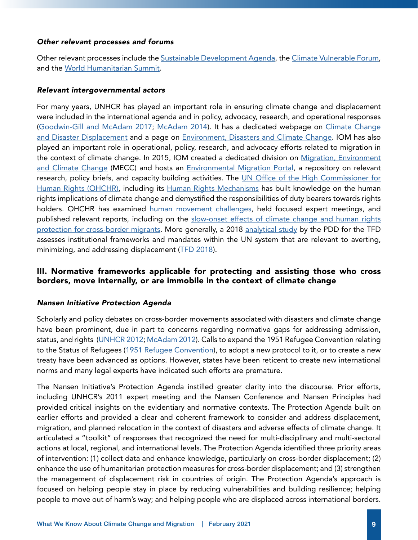#### *Other relevant processes and forums*

Other relevant processes include the [Sustainable Development Agenda](https://www.un.org/sustainabledevelopment/development-agenda/), the [Climate Vulnerable Forum,](https://thecvf.org/) and the [World Humanitarian Summit.](https://agendaforhumanity.org/summit.html)

# *Relevant intergovernmental actors*

For many years, UNHCR has played an important role in ensuring climate change and displacement were included in the international agenda and in policy, advocacy, research, and operational responses [\(Goodwin-Gill and McAdam 2017](https://www.unhcr.org/protection/environment/596f25467/unhcr-climate-change-disasters-displacement.html); [McAdam 2014\)](https://www.unhcr.org/542e9a509.pdf). It has a dedicated webpage on [Climate Change](https://www.unhcr.org/climate-change-and-disasters.html)  [and Disaster Displacement](https://www.unhcr.org/climate-change-and-disasters.html) and a page on [Environment, Disasters and Climate Change](https://www.unhcr.org/environment-disasters-and-climate-change.html). IOM has also played an important role in operational, policy, research, and advocacy efforts related to migration in the context of climate change. In 2015, IOM created a dedicated division on [Migration, Environment](https://www.iom.int/migration-and-climate-change) [and Climate Change](https://www.iom.int/migration-and-climate-change) (MECC) and hosts an [Environmental Migration Portal](https://environmentalmigration.iom.int/), a repository on relevant research, policy briefs, and capacity building activities. The UN Office of the High Commissioner for [Human Rights \(OHCHR\)](https://www.ohchr.org/EN/Issues/HRAndClimateChange/Pages/HRClimateChangeIndex.aspx), including its [Human Rights Mechanisms](https://www.ohchr.org/EN/Issues/HRAndClimateChange/Pages/HumanRightsMechanisms.aspx) has built knowledge on the human rights implications of climate change and demystified the responsibilities of duty bearers towards rights holders. OHCHR has examined [human movement challenges](https://www.ohchr.org/EN/Issues/HRAndClimateChange/Pages/HRClimateChangeandMigration.aspx), held focused expert meetings, and published relevant reports, including on the [slow-onset effects of climate change and human rights](https://www.ohchr.org/Documents/Issues/ClimateChange/SlowOnset/A_HRC_37_CRP_4.pdf)  [protection for cross-border migrants.](https://www.ohchr.org/Documents/Issues/ClimateChange/SlowOnset/A_HRC_37_CRP_4.pdf) More generally, a 2018 [analytical study](https://unfccc.int/sites/default/files/resource/WIM%20TFD%20II.3%20Output%20final%20-%20updated%20171018.pdf) by the PDD for the TFD assesses institutional frameworks and mandates within the UN system that are relevant to averting, minimizing, and addressing displacement ([TFD 2018\)](https://unfccc.int/sites/default/files/resource/2018_TFD_report_17_Sep.pdf).

# III. Normative frameworks applicable for protecting and assisting those who cross borders, move internally, or are immobile in the context of climate change

# *Nansen Initiative Protection Agenda*

Scholarly and policy debates on cross-border movements associated with disasters and climate change have been prominent, due in part to concerns regarding normative gaps for addressing admission, status, and rights [\(UNHCR 2012](https://www.unhcr.org/4da2b5e19.pdf); [McAdam 2012\)](https://oxford.universitypressscholarship.com/view/10.1093/acprof:oso/9780199587087.001.0001/acprof-9780199587087). Calls to expand the 1951 Refugee Convention relating to the Status of Refugees [\(1951 Refugee Convention\)](https://www.unhcr.org/1951-refugee-convention.html), to adopt a new protocol to it, or to create a new treaty have been advanced as options. However, states have been reticent to create new international norms and many legal experts have indicated such efforts are premature.

The Nansen Initiative's Protection Agenda instilled greater clarity into the discourse. Prior efforts, including UNHCR's 2011 expert meeting and the Nansen Conference and Nansen Principles had provided critical insights on the evidentiary and normative contexts. The Protection Agenda built on earlier efforts and provided a clear and coherent framework to consider and address displacement, migration, and planned relocation in the context of disasters and adverse effects of climate change. It articulated a "toolkit" of responses that recognized the need for multi-disciplinary and multi-sectoral actions at local, regional, and international levels. The Protection Agenda identified three priority areas of intervention: (1) collect data and enhance knowledge, particularly on cross-border displacement; (2) enhance the use of humanitarian protection measures for cross-border displacement; and (3) strengthen the management of displacement risk in countries of origin. The Protection Agenda's approach is focused on helping people stay in place by reducing vulnerabilities and building resilience; helping people to move out of harm's way; and helping people who are displaced across international borders.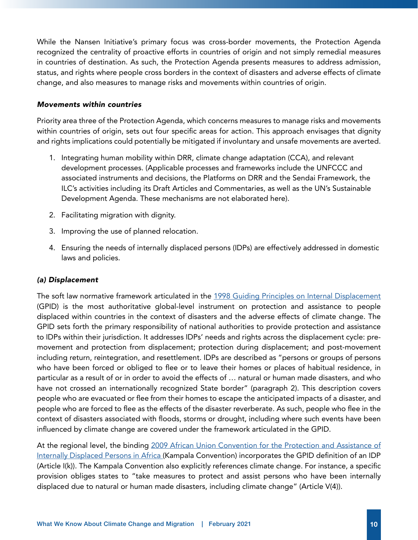While the Nansen Initiative's primary focus was cross-border movements, the Protection Agenda recognized the centrality of proactive efforts in countries of origin and not simply remedial measures in countries of destination. As such, the Protection Agenda presents measures to address admission, status, and rights where people cross borders in the context of disasters and adverse effects of climate change, and also measures to manage risks and movements within countries of origin.

#### *Movements within countries*

Priority area three of the Protection Agenda, which concerns measures to manage risks and movements within countries of origin, sets out four specific areas for action. This approach envisages that dignity and rights implications could potentially be mitigated if involuntary and unsafe movements are averted.

- 1. Integrating human mobility within DRR, climate change adaptation (CCA), and relevant development processes. (Applicable processes and frameworks include the UNFCCC and associated instruments and decisions, the Platforms on DRR and the Sendai Framework, the ILC's activities including its Draft Articles and Commentaries, as well as the UN's Sustainable Development Agenda. These mechanisms are not elaborated here).
- 2. Facilitating migration with dignity.
- 3. Improving the use of planned relocation.
- 4. Ensuring the needs of internally displaced persons (IDPs) are effectively addressed in domestic laws and policies.

# *(a) Displacement*

The soft law normative framework articulated in the [1998 Guiding Principles on Internal Displacement](http://www.un-documents.net/gpid.htm) (GPID) is the most authoritative global-level instrument on protection and assistance to people displaced within countries in the context of disasters and the adverse effects of climate change. The GPID sets forth the primary responsibility of national authorities to provide protection and assistance to IDPs within their jurisdiction. It addresses IDPs' needs and rights across the displacement cycle: premovement and protection from displacement; protection during displacement; and post-movement including return, reintegration, and resettlement. IDPs are described as "persons or groups of persons who have been forced or obliged to flee or to leave their homes or places of habitual residence, in particular as a result of or in order to avoid the effects of … natural or human made disasters, and who have not crossed an internationally recognized State border" (paragraph 2). This description covers people who are evacuated or flee from their homes to escape the anticipated impacts of a disaster, and people who are forced to flee as the effects of the disaster reverberate. As such, people who flee in the context of disasters associated with floods, storms or drought, including where such events have been influenced by climate change are covered under the framework articulated in the GPID.

At the regional level, the binding [2009 African Union Convention for the Protection and Assistance of](https://au.int/en/treaties/african-union-convention-protection-and-assistance-internally-displaced-persons-africa) [Internally Displaced Persons in Africa](https://au.int/en/treaties/african-union-convention-protection-and-assistance-internally-displaced-persons-africa) (Kampala Convention) incorporates the GPID definition of an IDP (Article I(k)). The Kampala Convention also explicitly references climate change. For instance, a specific provision obliges states to "take measures to protect and assist persons who have been internally displaced due to natural or human made disasters, including climate change" (Article V(4)).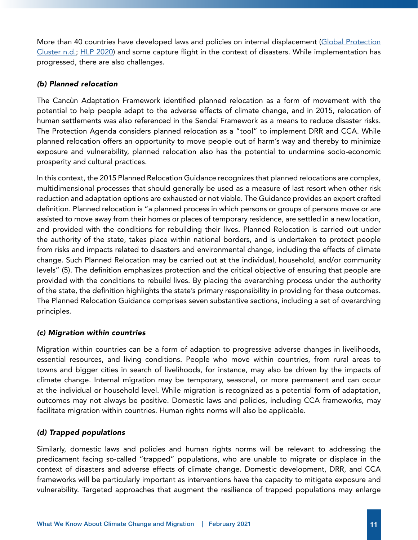More than 40 countries have developed laws and policies on internal displacement (Global Protection [Cluster n.d.](https://au.int/en/treaties/african-union-convention-protection-and-assistance-internally-displaced-persons-africa); [HLP 2020\)](https://www.un.org/internal-displacement-panel/sites/www.un.org.internal-displacement-panel/files/hlp_-_concept_paper_on_issues_and_challenges_before_the_sgs_panel_on_internal_displacement_12022020_0.pdf) and some capture flight in the context of disasters. While implementation has progressed, there are also challenges.

# *(b) Planned relocation*

The Cancùn Adaptation Framework identified planned relocation as a form of movement with the potential to help people adapt to the adverse effects of climate change, and in 2015, relocation of human settlements was also referenced in the Sendai Framework as a means to reduce disaster risks. The Protection Agenda considers planned relocation as a "tool" to implement DRR and CCA. While planned relocation offers an opportunity to move people out of harm's way and thereby to minimize exposure and vulnerability, planned relocation also has the potential to undermine socio-economic prosperity and cultural practices.

In this context, the 2015 Planned Relocation Guidance recognizes that planned relocations are complex, multidimensional processes that should generally be used as a measure of last resort when other risk reduction and adaptation options are exhausted or not viable. The Guidance provides an expert crafted definition. Planned relocation is "a planned process in which persons or groups of persons move or are assisted to move away from their homes or places of temporary residence, are settled in a new location, and provided with the conditions for rebuilding their lives. Planned Relocation is carried out under the authority of the state, takes place within national borders, and is undertaken to protect people from risks and impacts related to disasters and environmental change, including the effects of climate change. Such Planned Relocation may be carried out at the individual, household, and/or community levels" (5). The definition emphasizes protection and the critical objective of ensuring that people are provided with the conditions to rebuild lives. By placing the overarching process under the authority of the state, the definition highlights the state's primary responsibility in providing for these outcomes. The Planned Relocation Guidance comprises seven substantive sections, including a set of overarching principles.

#### *(c) Migration within countries*

Migration within countries can be a form of adaption to progressive adverse changes in livelihoods, essential resources, and living conditions. People who move within countries, from rural areas to towns and bigger cities in search of livelihoods, for instance, may also be driven by the impacts of climate change. Internal migration may be temporary, seasonal, or more permanent and can occur at the individual or household level. While migration is recognized as a potential form of adaptation, outcomes may not always be positive. Domestic laws and policies, including CCA frameworks, may facilitate migration within countries. Human rights norms will also be applicable.

# *(d) Trapped populations*

Similarly, domestic laws and policies and human rights norms will be relevant to addressing the predicament facing so-called "trapped" populations, who are unable to migrate or displace in the context of disasters and adverse effects of climate change. Domestic development, DRR, and CCA frameworks will be particularly important as interventions have the capacity to mitigate exposure and vulnerability. Targeted approaches that augment the resilience of trapped populations may enlarge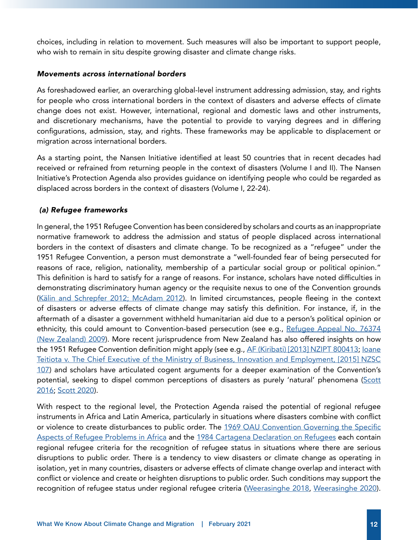choices, including in relation to movement. Such measures will also be important to support people, who wish to remain in situ despite growing disaster and climate change risks.

#### *Movements across international borders*

As foreshadowed earlier, an overarching global-level instrument addressing admission, stay, and rights for people who cross international borders in the context of disasters and adverse effects of climate change does not exist. However, international, regional and domestic laws and other instruments, and discretionary mechanisms, have the potential to provide to varying degrees and in differing configurations, admission, stay, and rights. These frameworks may be applicable to displacement or migration across international borders.

As a starting point, the Nansen Initiative identified at least 50 countries that in recent decades had received or refrained from returning people in the context of disasters (Volume I and II). The Nansen Initiative's Protection Agenda also provides guidance on identifying people who could be regarded as displaced across borders in the context of disasters (Volume I, 22-24).

# *(a) Refugee frameworks*

In general, the 1951 Refugee Convention has been considered by scholars and courts as an inappropriate normative framework to address the admission and status of people displaced across international borders in the context of disasters and climate change. To be recognized as a "refugee" under the 1951 Refugee Convention, a person must demonstrate a "well-founded fear of being persecuted for reasons of race, religion, nationality, membership of a particular social group or political opinion." This definition is hard to satisfy for a range of reasons. For instance, scholars have noted difficulties in demonstrating discriminatory human agency or the requisite nexus to one of the Convention grounds ([Kälin and Schrepfer 2012; McAdam 2012\)](https://oxford.universitypressscholarship.com/view/10.1093/acprof:oso/9780199587087.001.0001/acprof-9780199587087). In limited circumstances, people fleeing in the context of disasters or adverse effects of climate change may satisfy this definition. For instance, if, in the aftermath of a disaster a government withheld humanitarian aid due to a person's political opinion or ethnicity, this could amount to Convention-based persecution (see e.g., Refugee Appeal No. 76374 [\(New Zealand\) 2009](https://www.refworld.org/cases,NZL_RSAA,4afc31da2.htmlAF%20(Kiribati)%20%5B2013%5D%20NZIPT%20800413)). More recent jurisprudence from New Zealand has also offered insights on how the 1951 Refugee Convention definition might apply (see e.g., [AF \(Kiribati\) \[2013\] NZIPT 800413;](https://www.refworld.org/cases,NZ_IPT,5dad6b754.html) [Ioane](https://www.refworld.org/cases,NZL_SC,55c8675d4.html)  [Teitiota v. The Chief Executive of the Ministry of Business, Innovation and Employment, \[2015\] NZSC](https://www.refworld.org/cases,NZL_SC,55c8675d4.html) [107](https://www.refworld.org/cases,NZL_SC,55c8675d4.html)) and scholars have articulated cogent arguments for a deeper examination of the Convention's potential, seeking to dispel common perceptions of disasters as purely 'natural' phenomena ([Scott](https://academic.oup.com/rsq/article-abstract/35/4/26/2584492) [2016](https://academic.oup.com/rsq/article-abstract/35/4/26/2584492); [Scott 2020\)](https://www.cambridge.org/core/books/climate-change-disasters-and-the-refugee-convention/1BE95344D8CA016F43A00A760437359D#fndtn-information).

With respect to the regional level, the Protection Agenda raised the potential of regional refugee instruments in Africa and Latin America, particularly in situations where disasters combine with conflict or violence to create disturbances to public order. The [1969 OAU Convention Governing the Specific](https://au.int/en/treaties/oau-convention-governing-specific-aspects-refugee-problems-africa) [Aspects of Refugee Problems in Africa](https://au.int/en/treaties/oau-convention-governing-specific-aspects-refugee-problems-africa) and the [1984 Cartagena Declaration on Refugees](https://www.refworld.org/docid/3ae6b36ec.html) each contain regional refugee criteria for the recognition of refugee status in situations where there are serious disruptions to public order. There is a tendency to view disasters or climate change as operating in isolation, yet in many countries, disasters or adverse effects of climate change overlap and interact with conflict or violence and create or heighten disruptions to public order. Such conditions may support the recognition of refugee status under regional refugee criteria ([Weerasinghe 2018,](https://www.refworld.org/docid/5c2f54fe4.html) [Weerasinghe 2020\)](https://www.refworld.org/docid/5ff43e894.html).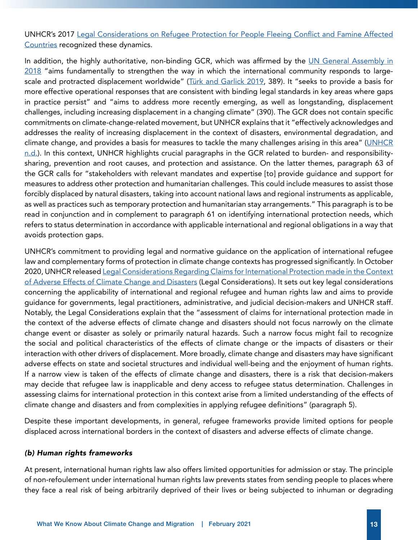UNHCR's 2017 [Legal Considerations on Refugee Protection for People Fleeing Conflict and Famine Affected](https://www.refworld.org/docid/5906e0824.html) [Countries](https://www.refworld.org/docid/5906e0824.html) recognized these dynamics.

In addition, the highly authoritative, non-binding GCR, which was affirmed by the UN General Assembly in [2018](https://undocs.org/en/A/RES/73/151) "aims fundamentally to strengthen the way in which the international community responds to large-scale and protracted displacement worldwide" ([Türk and Garlick 2019](https://academic.oup.com/ijrl/article-abstract/31/2-3/389/5686248?redirectedFrom=fulltext), 389). It "seeks to provide a basis for more effective operational responses that are consistent with binding legal standards in key areas where gaps in practice persist" and "aims to address more recently emerging, as well as longstanding, displacement challenges, including increasing displacement in a changing climate" (390). The GCR does not contain specific commitments on climate-change-related movement, but UNHCR explains that it "effectively acknowledges and addresses the reality of increasing displacement in the context of disasters, environmental degradation, and climate change, and provides a basis for measures to tackle the many challenges arising in this area" ([UNHCR](https://www.unhcr.org/protection/environment/5c9e13297/climate-change-disaster-displacement-global-compact-refugees.html) [n.d.\)](https://www.unhcr.org/protection/environment/5c9e13297/climate-change-disaster-displacement-global-compact-refugees.html). In this context, UNHCR highlights crucial paragraphs in the GCR related to burden- and responsibilitysharing, prevention and root causes, and protection and assistance. On the latter themes, paragraph 63 of the GCR calls for "stakeholders with relevant mandates and expertise [to] provide guidance and support for measures to address other protection and humanitarian challenges. This could include measures to assist those forcibly displaced by natural disasters, taking into account national laws and regional instruments as applicable, as well as practices such as temporary protection and humanitarian stay arrangements." This paragraph is to be read in conjunction and in complement to paragraph 61 on identifying international protection needs, which refers to status determination in accordance with applicable international and regional obligations in a way that avoids protection gaps.

UNHCR's commitment to providing legal and normative guidance on the application of international refugee law and complementary forms of protection in climate change contexts has progressed significantly. In October 2020, UNHCR released [Legal Considerations Regarding Claims for International Protection made in the Context](https://www.refworld.org/docid/5f75f2734.html) [of Adverse Effects of Climate Change and Disasters](https://www.refworld.org/docid/5f75f2734.html) (Legal Considerations). It sets out key legal considerations concerning the applicability of international and regional refugee and human rights law and aims to provide guidance for governments, legal practitioners, administrative, and judicial decision-makers and UNHCR staff. Notably, the Legal Considerations explain that the "assessment of claims for international protection made in the context of the adverse effects of climate change and disasters should not focus narrowly on the climate change event or disaster as solely or primarily natural hazards. Such a narrow focus might fail to recognize the social and political characteristics of the effects of climate change or the impacts of disasters or their interaction with other drivers of displacement. More broadly, climate change and disasters may have significant adverse effects on state and societal structures and individual well-being and the enjoyment of human rights. If a narrow view is taken of the effects of climate change and disasters, there is a risk that decision-makers may decide that refugee law is inapplicable and deny access to refugee status determination. Challenges in assessing claims for international protection in this context arise from a limited understanding of the effects of climate change and disasters and from complexities in applying refugee definitions" (paragraph 5).

Despite these important developments, in general, refugee frameworks provide limited options for people displaced across international borders in the context of disasters and adverse effects of climate change.

#### *(b) Human rights frameworks*

At present, international human rights law also offers limited opportunities for admission or stay. The principle of non-refoulement under international human rights law prevents states from sending people to places where they face a real risk of being arbitrarily deprived of their lives or being subjected to inhuman or degrading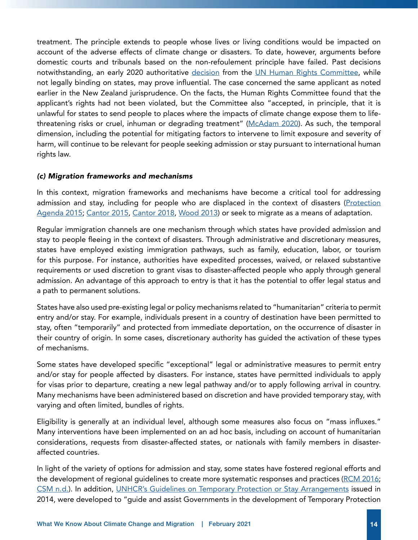treatment. The principle extends to people whose lives or living conditions would be impacted on account of the adverse effects of climate change or disasters. To date, however, arguments before domestic courts and tribunals based on the non-refoulement principle have failed. Past decisions notwithstanding, an early 2020 authoritative [decision](https://www.refworld.org/cases,HRC,5e26f7134.html) from the [UN Human Rights Committee,](https://www.ohchr.org/en/hrbodies/ccpr/pages/ccprindex.aspx) while not legally binding on states, may prove influential. The case concerned the same applicant as noted earlier in the New Zealand jurisprudence. On the facts, the Human Rights Committee found that the applicant's rights had not been violated, but the Committee also "accepted, in principle, that it is unlawful for states to send people to places where the impacts of climate change expose them to life-threatening risks or cruel, inhuman or degrading treatment" ([McAdam 2020](https://www.cambridge.org/core/journals/american-journal-of-international-law/article/abs/protecting-people-displaced-by-the-impacts-of-climate-change-the-un-human-rights-committee-and-the-principle-of-nonrefoulement/4B8E9EBB4FE37ABEB74608742FEAD946)). As such, the temporal dimension, including the potential for mitigating factors to intervene to limit exposure and severity of harm, will continue to be relevant for people seeking admission or stay pursuant to international human rights law.

#### *(c) Migration frameworks and mechanisms*

In this context, migration frameworks and mechanisms have become a critical tool for addressing admission and stay, including for people who are displaced in the context of disasters (Protection [Agenda 2015](https://www.nanseninitiative.org/global-consultations/); [Cantor 2015](https://disasterdisplacement.org/wp-content/uploads/2015/07/150715_FINAL_BACKGROUND_PAPER_LATIN_AMERICA_screen.pdf), [Cantor 2018,](https://caribbeanmigration.org/sites/default/files/cross-border_displacement_climate_change_and_disasters_lac_david_cantor_2018.pdf) [Wood 2013](http://www.nanseninitiative.org/wp-content/uploads/2015/03/190215_Technical_Paper_Tamara_Wood.pdf)) or seek to migrate as a means of adaptation.

Regular immigration channels are one mechanism through which states have provided admission and stay to people fleeing in the context of disasters. Through administrative and discretionary measures, states have employed existing immigration pathways, such as family, education, labor, or tourism for this purpose. For instance, authorities have expedited processes, waived, or relaxed substantive requirements or used discretion to grant visas to disaster-affected people who apply through general admission. An advantage of this approach to entry is that it has the potential to offer legal status and a path to permanent solutions.

States have also used pre-existing legal or policy mechanisms related to "humanitarian" criteria to permit entry and/or stay. For example, individuals present in a country of destination have been permitted to stay, often "temporarily" and protected from immediate deportation, on the occurrence of disaster in their country of origin. In some cases, discretionary authority has guided the activation of these types of mechanisms.

Some states have developed specific "exceptional" legal or administrative measures to permit entry and/or stay for people affected by disasters. For instance, states have permitted individuals to apply for visas prior to departure, creating a new legal pathway and/or to apply following arrival in country. Many mechanisms have been administered based on discretion and have provided temporary stay, with varying and often limited, bundles of rights.

Eligibility is generally at an individual level, although some measures also focus on "mass influxes." Many interventions have been implemented on an ad hoc basis, including on account of humanitarian considerations, requests from disaster-affected states, or nationals with family members in disasteraffected countries.

In light of the variety of options for admission and stay, some states have fostered regional efforts and the development of regional guidelines to create more systematic responses and practices [\(RCM 2016](https://disasterdisplacement.org/wp-content/uploads/2016/11/PROTECTION-FOR-PERSONS-MOVING-IN-THE-CONTEXT-OF-DISASTERS.pdf); [CSM n.d.](https://disasterdisplacement.org/wp-content/uploads/2019/06/CSM-Lineamientos-regionales-personas-desplazadas-por-desastres_compressed.pdf)). In addition, [UNHCR's Guidelines on Temporary Protection or Stay Arrangements](https://www.refworld.org/docid/52fba2404.html) issued in 2014, were developed to "guide and assist Governments in the development of Temporary Protection